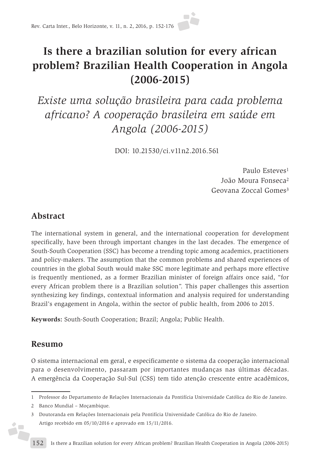# **Is there a brazilian solution for every african problem? Brazilian Health Cooperation in Angola (2006-2015)**

*Existe uma solução brasileira para cada problema africano? A cooperação brasileira em saúde em Angola (2006-2015)* 

DOI: 10.21530/ci.v11n2.2016.561

Paulo Esteves<sup>1</sup> João Moura Fonseca2 Geovana Zoccal Gomes3

# **Abstract**

The international system in general, and the international cooperation for development specifically, have been through important changes in the last decades. The emergence of South-South Cooperation (SSC) has become a trending topic among academics, practitioners and policy-makers. The assumption that the common problems and shared experiences of countries in the global South would make SSC more legitimate and perhaps more effective is frequently mentioned, as a former Brazilian minister of foreign affairs once said, "for every African problem there is a Brazilian solution". This paper challenges this assertion synthesizing key findings, contextual information and analysis required for understanding Brazil's engagement in Angola, within the sector of public health, from 2006 to 2015.

**Keywords:** South-South Cooperation; Brazil; Angola; Public Health.

# **Resumo**

**SP** 

O sistema internacional em geral, e especificamente o sistema da cooperação internacional para o desenvolvimento, passaram por importantes mudanças nas últimas décadas. A emergência da Cooperação Sul-Sul (CSS) tem tido atenção crescente entre acadêmicos,

- 1 Professor do Departamento de Relações Internacionais da Pontifícia Universidade Católica do Rio de Janeiro.
- 2 Banco Mundial Moçambique.

<sup>3</sup> Doutoranda em Relações Internacionais pela Pontifícia Universidade Católica do Rio de Janeiro. Artigo recebido em 05/10/2016 e aprovado em 15/11/2016.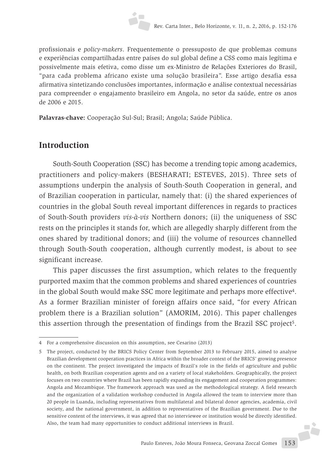

profissionais e *policy-makers*. Frequentemente o pressuposto de que problemas comuns e experiências compartilhadas entre países do sul global define a CSS como mais legítima e possivelmente mais efetiva, como disse um ex-Ministro de Relações Exteriores do Brasil, "para cada problema africano existe uma solução brasileira". Esse artigo desafia essa afirmativa sintetizando conclusões importantes, informação e análise contextual necessárias para compreender o engajamento brasileiro em Angola, no setor da saúde, entre os anos de 2006 e 2015.

**Palavras-chave:** Cooperação Sul-Sul; Brasil; Angola; Saúde Pública.

# **Introduction**

South-South Cooperation (SSC) has become a trending topic among academics, practitioners and policy-makers (BESHARATI; ESTEVES, 2015). Three sets of assumptions underpin the analysis of South-South Cooperation in general, and of Brazilian cooperation in particular, namely that: (i) the shared experiences of countries in the global South reveal important differences in regards to practices of South-South providers *vis-à-vis* Northern donors; (ii) the uniqueness of SSC rests on the principles it stands for, which are allegedly sharply different from the ones shared by traditional donors; and (iii) the volume of resources channelled through South-South cooperation, although currently modest, is about to see significant increase.

This paper discusses the first assumption, which relates to the frequently purported maxim that the common problems and shared experiences of countries in the global South would make SSC more legitimate and perhaps more effective4. As a former Brazilian minister of foreign affairs once said, "for every African problem there is a Brazilian solution" (AMORIM, 2016). This paper challenges this assertion through the presentation of findings from the Brazil SSC project<sup>5</sup>.

J.

<sup>4</sup> For a comprehensive discussion on this assumption, see Cesarino (2013)

<sup>5</sup> The project, conducted by the BRICS Policy Center from September 2013 to February 2015, aimed to analyse Brazilian development cooperation practices in Africa within the broader context of the BRICS' growing presence on the continent. The project investigated the impacts of Brazil's role in the fields of agriculture and public health, on both Brazilian cooperation agents and on a variety of local stakeholders. Geographically, the project focuses on two countries where Brazil has been rapidly expanding its engagement and cooperation programmes: Angola and Mozambique. The framework approach was used as the methodological strategy. A field research and the organization of a validation workshop conducted in Angola allowed the team to interview more than 20 people in Luanda, including representatives from multilateral and bilateral donor agencies, academia, civil society, and the national government, in addition to representatives of the Brazilian government. Due to the sensitive content of the interviews, it was agreed that no interviewee or institution would be directly identified. Also, the team had many opportunities to conduct additional interviews in Brazil.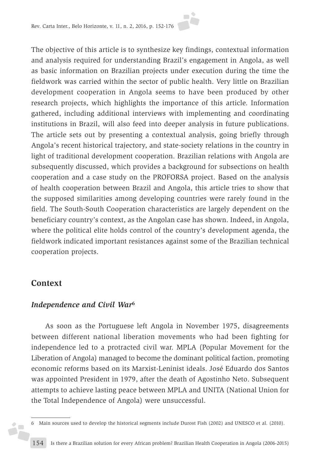The objective of this article is to synthesize key findings, contextual information and analysis required for understanding Brazil's engagement in Angola, as well as basic information on Brazilian projects under execution during the time the fieldwork was carried within the sector of public health. Very little on Brazilian development cooperation in Angola seems to have been produced by other research projects, which highlights the importance of this article. Information gathered, including additional interviews with implementing and coordinating institutions in Brazil, will also feed into deeper analysis in future publications. The article sets out by presenting a contextual analysis, going briefly through Angola's recent historical trajectory, and state-society relations in the country in light of traditional development cooperation. Brazilian relations with Angola are subsequently discussed, which provides a background for subsections on health cooperation and a case study on the PROFORSA project. Based on the analysis of health cooperation between Brazil and Angola, this article tries to show that the supposed similarities among developing countries were rarely found in the field. The South-South Cooperation characteristics are largely dependent on the beneficiary country's context, as the Angolan case has shown. Indeed, in Angola, where the political elite holds control of the country's development agenda, the fieldwork indicated important resistances against some of the Brazilian technical cooperation projects.

# **Context**

 $\overline{\phantom{a}}$ 

## *Independence and Civil War***<sup>6</sup>**

As soon as the Portuguese left Angola in November 1975, disagreements between different national liberation movements who had been fighting for independence led to a protracted civil war. MPLA (Popular Movement for the Liberation of Angola) managed to become the dominant political faction, promoting economic reforms based on its Marxist-Leninist ideals. José Eduardo dos Santos was appointed President in 1979, after the death of Agostinho Neto. Subsequent attempts to achieve lasting peace between MPLA and UNITA (National Union for the Total Independence of Angola) were unsuccessful.

<sup>6</sup> Main sources used to develop the historical segments include Durost Fish (2002) and UNESCO et al. (2010).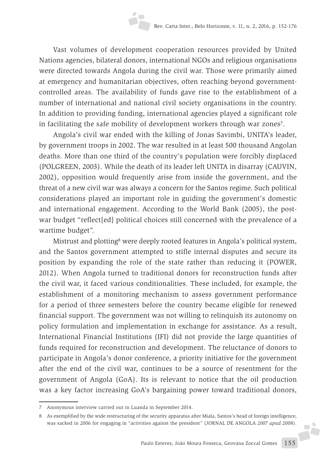Vast volumes of development cooperation resources provided by United Nations agencies, bilateral donors, international NGOs and religious organisations were directed towards Angola during the civil war. Those were primarily aimed at emergency and humanitarian objectives, often reaching beyond governmentcontrolled areas. The availability of funds gave rise to the establishment of a number of international and national civil society organisations in the country. In addition to providing funding, international agencies played a significant role in facilitating the safe mobility of development workers through war zones<sup>7</sup>.

Angola's civil war ended with the killing of Jonas Savimbi, UNITA's leader, by government troops in 2002. The war resulted in at least 500 thousand Angolan deaths. More than one third of the country's population were forcibly displaced (POLGREEN, 2003). While the death of its leader left UNITA in disarray (CAUVIN, 2002), opposition would frequently arise from inside the government, and the threat of a new civil war was always a concern for the Santos regime. Such political considerations played an important role in guiding the government's domestic and international engagement. According to the World Bank (2005), the postwar budget "reflect[ed] political choices still concerned with the prevalence of a wartime budget".

Mistrust and plotting8 were deeply rooted features in Angola's political system, and the Santos government attempted to stifle internal disputes and secure its position by expanding the role of the state rather than reducing it (POWER, 2012). When Angola turned to traditional donors for reconstruction funds after the civil war, it faced various conditionalities. These included, for example, the establishment of a monitoring mechanism to assess government performance for a period of three semesters before the country became eligible for renewed financial support. The government was not willing to relinquish its autonomy on policy formulation and implementation in exchange for assistance. As a result, International Financial Institutions (IFI) did not provide the large quantities of funds required for reconstruction and development. The reluctance of donors to participate in Angola's donor conference, a priority initiative for the government after the end of the civil war, continues to be a source of resentment for the government of Angola (GoA). Its is relevant to notice that the oil production was a key factor increasing GoA's bargaining power toward traditional donors,

**FČ** 

<sup>7</sup> Anonymous interview carried out in Luanda in September 2014.

<sup>8</sup> As exemplified by the wide restructuring of the security apparatus after Miala, Santos's head of foreign intelligence, was sacked in 2006 for engaging in "activities against the president" (JORNAL DE ANGOLA 2007 *apud* 2008).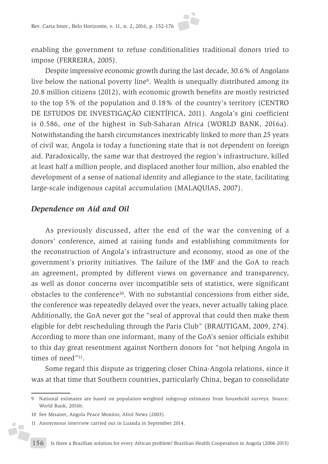enabling the government to refuse conditionalities traditional donors tried to impose (FERREIRA, 2005).

Despite impressive economic growth during the last decade, 30.6% of Angolans live below the national poverty line9. Wealth is unequally distributed among its 20.8 million citizens (2012), with economic growth benefits are mostly restricted to the top 5% of the population and 0.18% of the country's territory (CENTRO DE ESTUDOS DE INVESTIGAÇÃO CIENTÍFICA, 2011). Angola's gini coefficient is 0.586, one of the highest in Sub-Saharan Africa (WORLD BANK, 2016a). Notwithstanding the harsh circumstances inextricably linked to more than 25 years of civil war, Angola is today a functioning state that is not dependent on foreign aid. Paradoxically, the same war that destroyed the region's infrastructure, killed at least half a million people, and displaced another four million, also enabled the development of a sense of national identity and allegiance to the state, facilitating large-scale indigenous capital accumulation (MALAQUIAS, 2007).

#### *Dependence on Aid and Oil*

As previously discussed, after the end of the war the convening of a donors' conference, aimed at raising funds and establishing commitments for the reconstruction of Angola's infrastructure and economy, stood as one of the government's priority initiatives. The failure of the IMF and the GoA to reach an agreement, prompted by different views on governance and transparency, as well as donor concerns over incompatible sets of statistics, were significant obstacles to the conference10. With no substantial concessions from either side, the conference was repeatedly delayed over the years, never actually taking place. Additionally, the GoA never got the "seal of approval that could then make them eligible for debt rescheduling through the Paris Club" (BRAUTIGAM, 2009, 274). According to more than one informant, many of the GoA's senior officials exhibit to this day great resentment against Northern donors for "not helping Angola in times of need"<sup>11</sup>.

Some regard this dispute as triggering closer China-Angola relations, since it was at that time that Southern countries, particularly China, began to consolidate

 $\overline{\phantom{a}}$ 

<sup>9</sup> National estimates are based on population-weighted subgroup estimates from household surveys. Source: World Bank, 2016b.

<sup>10</sup> See Misanet, Angola Peace Monitor, Afrol News (2003).

<sup>11</sup> Anonymous interview carried out in Luanda in September 2014.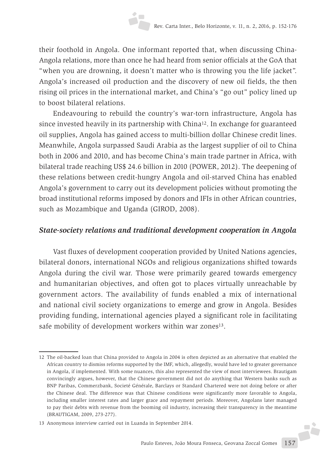their foothold in Angola. One informant reported that, when discussing China-Angola relations, more than once he had heard from senior officials at the GoA that "when you are drowning, it doesn't matter who is throwing you the life jacket". Angola's increased oil production and the discovery of new oil fields, the then rising oil prices in the international market, and China's "go out" policy lined up to boost bilateral relations.

Endeavouring to rebuild the country's war-torn infrastructure, Angola has since invested heavily in its partnership with China12. In exchange for guaranteed oil supplies, Angola has gained access to multi-billion dollar Chinese credit lines. Meanwhile, Angola surpassed Saudi Arabia as the largest supplier of oil to China both in 2006 and 2010, and has become China's main trade partner in Africa, with bilateral trade reaching US\$ 24.6 billion in 2010 (POWER, 2012). The deepening of these relations between credit-hungry Angola and oil-starved China has enabled Angola's government to carry out its development policies without promoting the broad institutional reforms imposed by donors and IFIs in other African countries, such as Mozambique and Uganda (GIROD, 2008).

# *State-society relations and traditional development cooperation in Angola*

Vast fluxes of development cooperation provided by United Nations agencies, bilateral donors, international NGOs and religious organizations shifted towards Angola during the civil war. Those were primarily geared towards emergency and humanitarian objectives, and often got to places virtually unreachable by government actors. The availability of funds enabled a mix of international and national civil society organizations to emerge and grow in Angola. Besides providing funding, international agencies played a significant role in facilitating safe mobility of development workers within war zones<sup>13</sup>.

F

<sup>12</sup> The oil-backed loan that China provided to Angola in 2004 is often depicted as an alternative that enabled the African country to dismiss reforms supported by the IMF, which, allegedly, would have led to greater governance in Angola, if implemented. With some nuances, this also represented the view of most interviewees. Brautigam convincingly argues, however, that the Chinese government did not do anything that Western banks such as BNP Paribas, Commerzbank, Societé Générale, Barclays or Standard Chartered were not doing before or after the Chinese deal. The difference was that Chinese conditions were significantly more favorable to Angola, including smaller interest rates and larger grace and repayment periods. Moreover, Angolans later managed to pay their debts with revenue from the booming oil industry, increasing their transparency in the meantime (BRAUTIGAM, 2009, 273-277).

<sup>13</sup> Anonymous interview carried out in Luanda in September 2014.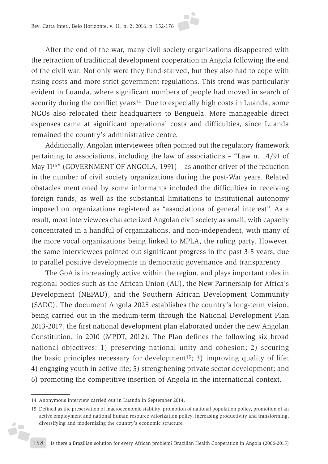After the end of the war, many civil society organizations disappeared with the retraction of traditional development cooperation in Angola following the end of the civil war. Not only were they fund-starved, but they also had to cope with rising costs and more strict government regulations. This trend was particularly evident in Luanda, where significant numbers of people had moved in search of security during the conflict years<sup>14</sup>. Due to especially high costs in Luanda, some NGOs also relocated their headquarters to Benguela. More manageable direct expenses came at significant operational costs and difficulties, since Luanda remained the country's administrative centre.

Additionally, Angolan interviewees often pointed out the regulatory framework pertaining to associations, including the law of associations – "Law n. 14/91 of May 11<sup>th</sup>" (GOVERNMENT OF ANGOLA, 1991) – as another driver of the reduction in the number of civil society organizations during the post-War years. Related obstacles mentioned by some informants included the difficulties in receiving foreign funds, as well as the substantial limitations to institutional autonomy imposed on organizations registered as "associations of general interest". As a result, most interviewees characterized Angolan civil society as small, with capacity concentrated in a handful of organizations, and non-independent, with many of the more vocal organizations being linked to MPLA, the ruling party. However, the same interviewees pointed out significant progress in the past 3-5 years, due to parallel positive developments in democratic governance and transparency.

The GoA is increasingly active within the region, and plays important roles in regional bodies such as the African Union (AU), the New Partnership for Africa's Development (NEPAD), and the Southern African Development Community (SADC). The document Angola 2025 establishes the country's long-term vision, being carried out in the medium-term through the National Development Plan 2013-2017, the first national development plan elaborated under the new Angolan Constitution, in 2010 (MPDT, 2012). The Plan defines the following six broad national objectives: 1) preserving national unity and cohesion; 2) securing the basic principles necessary for development<sup>15</sup>; 3) improving quality of life; 4) engaging youth in active life; 5) strengthening private sector development; and 6) promoting the competitive insertion of Angola in the international context.

á,

<sup>14</sup> Anonymous interview carried out in Luanda in September 2014.

<sup>15</sup> Defined as the preservation of macroeconomic stability, promotion of national population policy, promotion of an active employment and national human resource valorization policy, increasing productivity and transforming, diversifying and modernizing the country's economic structure.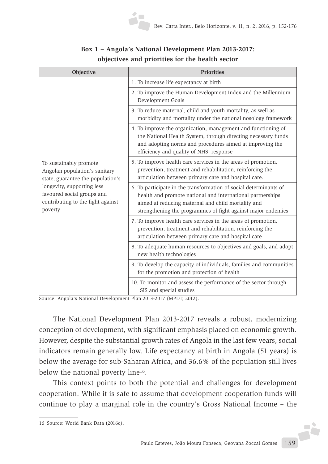| Objective                                                                                                                                                                                                | <b>Priorities</b>                                                                                                                                                                                                                                     |
|----------------------------------------------------------------------------------------------------------------------------------------------------------------------------------------------------------|-------------------------------------------------------------------------------------------------------------------------------------------------------------------------------------------------------------------------------------------------------|
| To sustainably promote<br>Angolan population's sanitary<br>state, guarantee the population's<br>longevity, supporting less<br>favoured social groups and<br>contributing to the fight against<br>poverty | 1. To increase life expectancy at birth                                                                                                                                                                                                               |
|                                                                                                                                                                                                          | 2. To improve the Human Development Index and the Millennium<br>Development Goals                                                                                                                                                                     |
|                                                                                                                                                                                                          | 3. To reduce maternal, child and youth mortality, as well as<br>morbidity and mortality under the national nosology framework                                                                                                                         |
|                                                                                                                                                                                                          | 4. To improve the organization, management and functioning of<br>the National Health System, through directing necessary funds<br>and adopting norms and procedures aimed at improving the<br>efficiency and quality of NHS' response                 |
|                                                                                                                                                                                                          | 5. To improve health care services in the areas of promotion,<br>prevention, treatment and rehabilitation, reinforcing the<br>articulation between primary care and hospital care.                                                                    |
|                                                                                                                                                                                                          | 6. To participate in the transformation of social determinants of<br>health and promote national and international partnerships<br>aimed at reducing maternal and child mortality and<br>strengthening the programmes of fight against major endemics |
|                                                                                                                                                                                                          | 7. To improve health care services in the areas of promotion,<br>prevention, treatment and rehabilitation, reinforcing the<br>articulation between primary care and hospital care                                                                     |
|                                                                                                                                                                                                          | 8. To adequate human resources to objectives and goals, and adopt<br>new health technologies                                                                                                                                                          |
|                                                                                                                                                                                                          | 9. To develop the capacity of individuals, families and communities<br>for the promotion and protection of health                                                                                                                                     |
|                                                                                                                                                                                                          | 10. To monitor and assess the performance of the sector through<br>SIS and special studies                                                                                                                                                            |

# **Box 1 – Angola's National Development Plan 2013-2017: objectives and priorities for the health sector**

Source: Angola's National Development Plan 2013-2017 (MPDT, 2012).

The National Development Plan 2013-2017 reveals a robust, modernizing conception of development, with significant emphasis placed on economic growth. However, despite the substantial growth rates of Angola in the last few years, social indicators remain generally low. Life expectancy at birth in Angola (51 years) is below the average for sub-Saharan Africa, and 36.6% of the population still lives below the national poverty line<sup>16</sup>.

This context points to both the potential and challenges for development cooperation. While it is safe to assume that development cooperation funds will continue to play a marginal role in the country's Gross National Income – the

F

<sup>16</sup> Source: World Bank Data (2016c).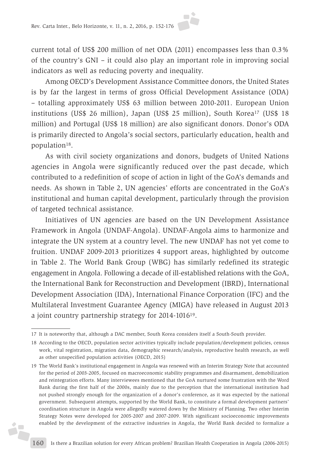current total of US\$ 200 million of net ODA (2011) encompasses less than 0.3% of the country's GNI – it could also play an important role in improving social indicators as well as reducing poverty and inequality.

Among OECD's Development Assistance Committee donors, the United States is by far the largest in terms of gross Official Development Assistance (ODA) – totalling approximately US\$ 63 million between 2010-2011. European Union institutions (US\$ 26 million), Japan (US\$ 25 million), South Korea<sup>17</sup> (US\$ 18 million) and Portugal (US\$ 18 million) are also significant donors. Donor's ODA is primarily directed to Angola's social sectors, particularly education, health and population18.

As with civil society organizations and donors, budgets of United Nations agencies in Angola were significantly reduced over the past decade, which contributed to a redefinition of scope of action in light of the GoA's demands and needs. As shown in Table 2, UN agencies' efforts are concentrated in the GoA's institutional and human capital development, particularly through the provision of targeted technical assistance.

Initiatives of UN agencies are based on the UN Development Assistance Framework in Angola (UNDAF-Angola). UNDAF-Angola aims to harmonize and integrate the UN system at a country level. The new UNDAF has not yet come to fruition. UNDAF 2009-2013 prioritizes 4 support areas, highlighted by outcome in Table 2. The World Bank Group (WBG) has similarly redefined its strategic engagement in Angola. Following a decade of ill-established relations with the GoA, the International Bank for Reconstruction and Development (IBRD), International Development Association (IDA), International Finance Corporation (IFC) and the Multilateral Investment Guarantee Agency (MIGA) have released in August 2013 a joint country partnership strategy for 2014-101619.

ż.

<sup>17</sup> It is noteworthy that, although a DAC member, South Korea considers itself a South-South provider.

<sup>18</sup> According to the OECD, population sector activities typically include population/development policies, census work, vital registration, migration data, demographic research/analysis, reproductive health research, as well as other unspecified population activities (OECD, 2015)

<sup>19</sup> The World Bank's institutional engagement in Angola was renewed with an Interim Strategy Note that accounted for the period of 2003-2005, focused on macroeconomic stability programmes and disarmament, demobilization and reintegration efforts. Many interviewees mentioned that the GoA nurtured some frustration with the Word Bank during the first half of the 2000s, mainly due to the perception that the international institution had not pushed strongly enough for the organization of a donor's conference, as it was expected by the national government. Subsequent attempts, supported by the World Bank, to constitute a formal development partners' coordination structure in Angola were allegedly watered down by the Ministry of Planning. Two other Interim Strategy Notes were developed for 2005-2007 and 2007-2009. With significant socioeconomic improvements enabled by the development of the extractive industries in Angola, the World Bank decided to formalize a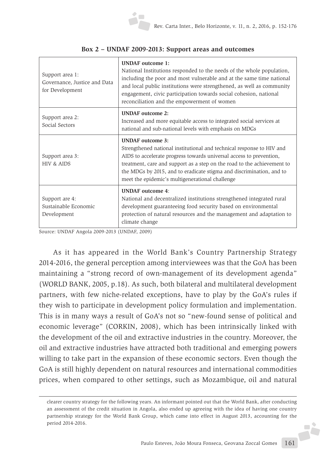| Support area 1:<br>Governance, Justice and Data<br>for Development | <b>UNDAF</b> outcome 1:<br>National Institutions responded to the needs of the whole population,<br>including the poor and most vulnerable and at the same time national<br>and local public institutions were strengthened, as well as community<br>engagement, civic participation towards social cohesion, national<br>reconciliation and the empowerment of women         |
|--------------------------------------------------------------------|-------------------------------------------------------------------------------------------------------------------------------------------------------------------------------------------------------------------------------------------------------------------------------------------------------------------------------------------------------------------------------|
| Support area 2:<br>Social Sectors                                  | <b>IINDAF</b> outcome 2:<br>Increased and more equitable access to integrated social services at<br>national and sub-national levels with emphasis on MDGs                                                                                                                                                                                                                    |
| Support area 3:<br><b>HIV &amp; AIDS</b>                           | <b>UNDAF</b> outcome 3:<br>Strengthened national institutional and technical response to HIV and<br>AIDS to accelerate progress towards universal access to prevention,<br>treatment, care and support as a step on the road to the achievement to<br>the MDGs by 2015, and to eradicate stigma and discrimination, and to<br>meet the epidemic's multigenerational challenge |
| Support are 4:<br>Sustainable Economic<br>Development              | <b>UNDAF</b> outcome 4:<br>National and decentralized institutions strengthened integrated rural<br>development guaranteeing food security based on environmental<br>protection of natural resources and the management and adaptation to<br>climate change                                                                                                                   |

#### **Box 2 – UNDAF 2009-2013: Support areas and outcomes**

Source: UNDAF Angola 2009-2013 (UNDAF, 2009)

As it has appeared in the World Bank's Country Partnership Strategy 2014-2016, the general perception among interviewees was that the GoA has been maintaining a "strong record of own-management of its development agenda" (WORLD BANK, 2005, p.18). As such, both bilateral and multilateral development partners, with few niche-related exceptions, have to play by the GoA's rules if they wish to participate in development policy formulation and implementation. This is in many ways a result of GoA's not so "new-found sense of political and economic leverage" (CORKIN, 2008), which has been intrinsically linked with the development of the oil and extractive industries in the country. Moreover, the oil and extractive industries have attracted both traditional and emerging powers willing to take part in the expansion of these economic sectors. Even though the GoA is still highly dependent on natural resources and international commodities prices, when compared to other settings, such as Mozambique, oil and natural

**A** 

clearer country strategy for the following years. An informant pointed out that the World Bank, after conducting an assessment of the credit situation in Angola, also ended up agreeing with the idea of having one country partnership strategy for the World Bank Group, which came into effect in August 2013, accounting for the period 2014-2016.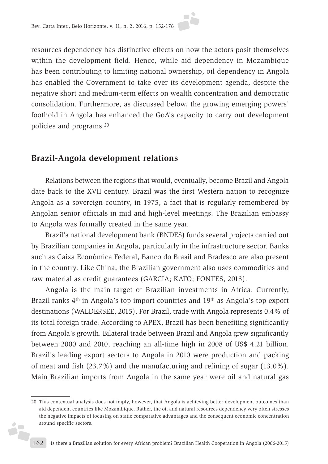resources dependency has distinctive effects on how the actors posit themselves within the development field. Hence, while aid dependency in Mozambique has been contributing to limiting national ownership, oil dependency in Angola has enabled the Government to take over its development agenda, despite the negative short and medium-term effects on wealth concentration and democratic consolidation. Furthermore, as discussed below, the growing emerging powers' foothold in Angola has enhanced the GoA's capacity to carry out development policies and programs.20

# **Brazil-Angola development relations**

Ď,

Relations between the regions that would, eventually, become Brazil and Angola date back to the XVII century. Brazil was the first Western nation to recognize Angola as a sovereign country, in 1975, a fact that is regularly remembered by Angolan senior officials in mid and high-level meetings. The Brazilian embassy to Angola was formally created in the same year.

Brazil's national development bank (BNDES) funds several projects carried out by Brazilian companies in Angola, particularly in the infrastructure sector. Banks such as Caixa Econômica Federal, Banco do Brasil and Bradesco are also present in the country. Like China, the Brazilian government also uses commodities and raw material as credit guarantees (GARCIA; KATO; FONTES, 2013).

Angola is the main target of Brazilian investments in Africa. Currently, Brazil ranks 4<sup>th</sup> in Angola's top import countries and 19<sup>th</sup> as Angola's top export destinations (WALDERSEE, 2015). For Brazil, trade with Angola represents 0.4% of its total foreign trade. According to APEX, Brazil has been benefiting significantly from Angola's growth. Bilateral trade between Brazil and Angola grew significantly between 2000 and 2010, reaching an all-time high in 2008 of US\$ 4.21 billion. Brazil's leading export sectors to Angola in 2010 were production and packing of meat and fish (23.7%) and the manufacturing and refining of sugar (13.0%). Main Brazilian imports from Angola in the same year were oil and natural gas

<sup>20</sup> This contextual analysis does not imply, however, that Angola is achieving better development outcomes than aid dependent countries like Mozambique. Rather, the oil and natural resources dependency very often stresses the negative impacts of focusing on static comparative advantages and the consequent economic concentration around specific sectors.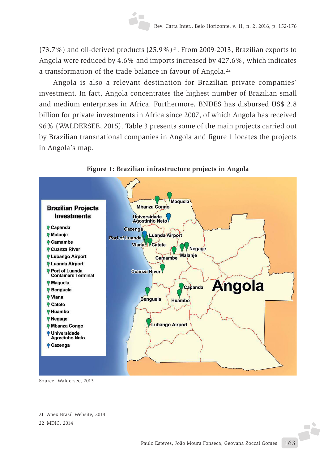$(73.7%)$  and oil-derived products  $(25.9%)^{21}$ . From 2009-2013, Brazilian exports to Angola were reduced by 4.6% and imports increased by 427.6%, which indicates a transformation of the trade balance in favour of Angola.22

Angola is also a relevant destination for Brazilian private companies' investment. In fact, Angola concentrates the highest number of Brazilian small and medium enterprises in Africa. Furthermore, BNDES has disbursed US\$ 2.8 billion for private investments in Africa since 2007, of which Angola has received 96% (WALDERSEE, 2015). Table 3 presents some of the main projects carried out by Brazilian transnational companies in Angola and figure 1 locates the projects in Angola's map.





Source: Waldersee, 2015

F

<sup>21</sup> Apex Brasil Website, 2014

<sup>22</sup> MDIC, 2014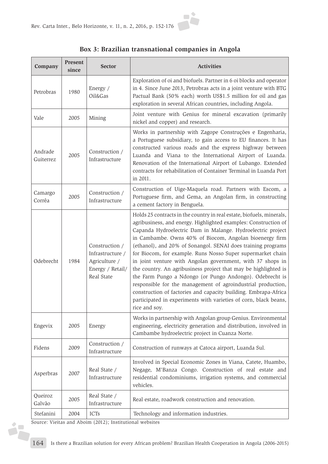

#### **Box 3: Brazilian transnational companies in Angola**

| Company              | <b>Present</b><br>since | <b>Sector</b>                                                                         | <b>Activities</b>                                                                                                                                                                                                                                                                                                                                                                                                                                                                                                                                                                                                                                                                                                                                                                                                      |
|----------------------|-------------------------|---------------------------------------------------------------------------------------|------------------------------------------------------------------------------------------------------------------------------------------------------------------------------------------------------------------------------------------------------------------------------------------------------------------------------------------------------------------------------------------------------------------------------------------------------------------------------------------------------------------------------------------------------------------------------------------------------------------------------------------------------------------------------------------------------------------------------------------------------------------------------------------------------------------------|
| Petrobras            | 1980                    | Energy /<br>Oil&Gas                                                                   | Exploration of oi and biofuels. Partner in 6 oi blocks and operator<br>in 4. Since June 2013, Petrobras acts in a joint venture with BTG<br>Pactual Bank (50% each) worth US\$1.5 million for oil and gas<br>exploration in several African countries, including Angola.                                                                                                                                                                                                                                                                                                                                                                                                                                                                                                                                               |
| Vale                 | 2005                    | Mining                                                                                | Joint venture with Genius for mineral excavation (primarily<br>nickel and copper) and research.                                                                                                                                                                                                                                                                                                                                                                                                                                                                                                                                                                                                                                                                                                                        |
| Andrade<br>Guiterrez | 2005                    | Construction /<br>Infrastructure                                                      | Works in partnership with Zagope Construções e Engenharia,<br>a Portuguese subsidiary, to gain access to EU finances. It has<br>constructed various roads and the express highway between<br>Luanda and Viana to the International Airport of Luanda.<br>Renovation of the International Airport of Lubango. Extended<br>contracts for rehabilitation of Container Terminal in Luanda Port<br>in 2011.                                                                                                                                                                                                                                                                                                                                                                                                                 |
| Camargo<br>Corrêa    | 2005                    | Construction /<br>Infrastructure                                                      | Construction of Uige-Maquela road. Partners with Escom, a<br>Portuguese firm, and Gema, an Angolan firm, in constructing<br>a cement factory in Benguela.                                                                                                                                                                                                                                                                                                                                                                                                                                                                                                                                                                                                                                                              |
| Odebrecht            | 1984                    | Construction /<br>Infrastructure /<br>Agriculture /<br>Energy / Retail/<br>Real State | Holds 25 contracts in the country in real estate, biofuels, minerals,<br>agribusiness, and energy. Highlighted examples: Construction of<br>Capanda Hydroelectric Dam in Malange. Hydroelectric project<br>in Cambambe. Owns 40% of Biocom, Angolan bioenergy firm<br>(ethanol), and 20% of Sonangol. SENAI does training programs<br>for Biocom, for example. Runs Nosso Super supermarket chain<br>in joint venture with Angolan government, with 37 shops in<br>the country. An agribusiness project that may be highlighted is<br>the Farm Pungo a Ndongo (or Pungo Andongo). Odebrecht is<br>responsible for the management of agroindustrial production,<br>construction of factories and capacity building. Embrapa-Africa<br>participated in experiments with varieties of corn, black beans,<br>rice and soy. |
| Engevix              | 2005                    | Energy                                                                                | Works in partnership with Angolan group Genius. Environmental<br>engineering, electricity generation and distribution, involved in<br>Cambambe hydroelectric project in Cuanza Norte.                                                                                                                                                                                                                                                                                                                                                                                                                                                                                                                                                                                                                                  |
| Fidens               | 2009                    | Construction /<br>Infrastructure                                                      | Construction of runways at Catoca airport, Luanda Sul.                                                                                                                                                                                                                                                                                                                                                                                                                                                                                                                                                                                                                                                                                                                                                                 |
| Asperbras            | 2007                    | Real State /<br>Infrastructure                                                        | Involved in Special Economic Zones in Viana, Catete, Huambo,<br>Negage, M'Banza Congo. Construction of real estate and<br>residential condominiums, irrigation systems, and commercial<br>vehicles.                                                                                                                                                                                                                                                                                                                                                                                                                                                                                                                                                                                                                    |
| Queiroz<br>Galvão    | 2005                    | Real State /<br>Infrastructure                                                        | Real estate, roadwork construction and renovation.                                                                                                                                                                                                                                                                                                                                                                                                                                                                                                                                                                                                                                                                                                                                                                     |
| Stefanini            | 2004                    | <b>ICTs</b>                                                                           | Technology and information industries.                                                                                                                                                                                                                                                                                                                                                                                                                                                                                                                                                                                                                                                                                                                                                                                 |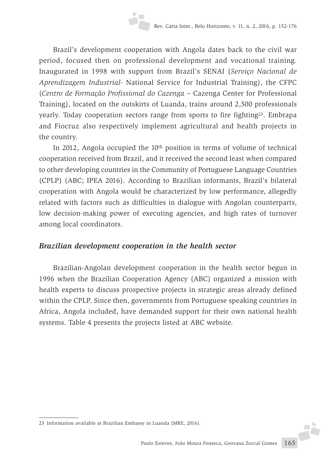Brazil's development cooperation with Angola dates back to the civil war period, focused then on professional development and vocational training. Inaugurated in 1998 with support from Brazil's SENAI (*Serviço Nacional de Aprendizagem Industrial-* National Service for Industrial Training), the CFPC (*Centro de Formação Profissional do Cazenga –* Cazenga Center for Professional Training), located on the outskirts of Luanda, trains around 2,500 professionals yearly. Today cooperation sectors range from sports to fire fighting23. Embrapa and Fiocruz also respectively implement agricultural and health projects in the country.

In 2012, Angola occupied the 10th position in terms of volume of technical cooperation received from Brazil, and it received the second least when compared to other developing countries in the Community of Portuguese Language Countries (CPLP) (ABC; IPEA 2016). According to Brazilian informants, Brazil's bilateral cooperation with Angola would be characterized by low performance, allegedly related with factors such as difficulties in dialogue with Angolan counterparts, low decision-making power of executing agencies, and high rates of turnover among local coordinators.

## *Brazilian development cooperation in the health sector*

Brazilian-Angolan development cooperation in the health sector begun in 1996 when the Brazilian Cooperation Agency (ABC) organized a mission with health experts to discuss prospective projects in strategic areas already defined within the CPLP. Since then, governments from Portuguese speaking countries in Africa, Angola included, have demanded support for their own national health systems. Table 4 presents the projects listed at ABC website.

J.

<sup>23</sup> Information available at Brazilian Embassy in Luanda (MRE, 2016).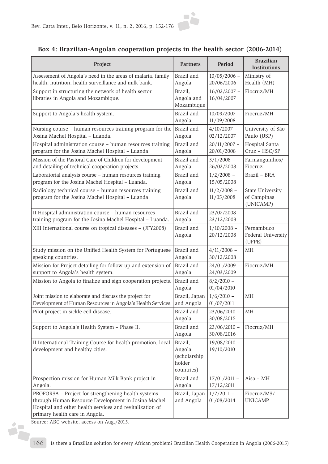

#### **Box 4: Brazilian-Angolan cooperation projects in the health sector (2006-2014)**

| Project                                                                                                                                                                                                  | <b>Partners</b>                                           | Period                       | <b>Brazilian</b><br><b>Institutions</b>             |
|----------------------------------------------------------------------------------------------------------------------------------------------------------------------------------------------------------|-----------------------------------------------------------|------------------------------|-----------------------------------------------------|
| Assessment of Angola's need in the areas of malaria, family                                                                                                                                              | Brazil and                                                | $10/05/2006$ -               | Ministry of                                         |
| health, nutrition, health surveillance and milk bank.                                                                                                                                                    | Angola                                                    | 20/06/2006                   | Health (MH)                                         |
| Support in structuring the network of health sector<br>libraries in Angola and Mozambique.                                                                                                               | Brazil,<br>Angola and<br>Mozambique                       | $16/02/2007 -$<br>16/04/2007 | Fiocruz/MH                                          |
| Support to Angola's health system.                                                                                                                                                                       | Brazil and<br>Angola                                      | $10/09/2007 -$<br>11/09/2008 | Fiocruz/MH                                          |
| Nursing course - human resources training program for the                                                                                                                                                | Brazil and                                                | $4/10/2007 -$                | University of São                                   |
| Josina Machel Hospital - Luanda.                                                                                                                                                                         | Angola                                                    | 02/12/2007                   | Paulo (USP)                                         |
| Hospital administration course - human resources training                                                                                                                                                | Brazil and                                                | $20/11/2007$ -               | Hospital Santa                                      |
| program for the Josina Machel Hospital - Luanda.                                                                                                                                                         | Angola                                                    | 20/01/2008                   | Cruz - HSC/SP                                       |
| Mission of the Pastoral Care of Children for development                                                                                                                                                 | Brazil and                                                | $3/1/2008 -$                 | Farmanguinhos/                                      |
| and detailing of technical cooperation projects.                                                                                                                                                         | Angola                                                    | 26/02/2008                   | Fiocruz                                             |
| Laboratorial analysis course - human resources training                                                                                                                                                  | Brazil and                                                | $1/2/2008 -$                 | Brazil - BRA                                        |
| program for the Josina Machel Hospital - Luanda.                                                                                                                                                         | Angola                                                    | 15/05/2008                   |                                                     |
| Radiology technical course - human resources training<br>program for the Josina Machel Hospital - Luanda.                                                                                                | Brazil and<br>Angola                                      | $11/2/2008 -$<br>11/05/2008  | <b>State University</b><br>of Campinas<br>(UNICAMP) |
| II Hospital administration course - human resources                                                                                                                                                      | Brazil and                                                | $23/07/2008 -$               |                                                     |
| training program for the Josina Machel Hospital - Luanda.                                                                                                                                                | Angola                                                    | 23/12/2008                   |                                                     |
| XIII International course on tropical diseases - (JFY2008)                                                                                                                                               | Brazil and<br>Angola                                      | $1/10/2008 -$<br>20/12/2008  | Pernambuco<br>Federal University<br>(UFPE)          |
| Study mission on tbe Unified Health System for Portuguese                                                                                                                                                | Brazil and                                                | $4/11/2008 -$                | MH                                                  |
| speaking countries.                                                                                                                                                                                      | Angola                                                    | 30/12/2008                   |                                                     |
| Mission for Project detailing for follow-up and extension of                                                                                                                                             | Brazil and                                                | $24/01/2009$ -               | Fiocruz/MH                                          |
| support to Angola's health system.                                                                                                                                                                       | Angola                                                    | 24/03/2009                   |                                                     |
| Mission to Angola to finalize and sign cooperation projects.                                                                                                                                             | Brazil and<br>Angola                                      | $8/2/2010 -$<br>01/04/2010   |                                                     |
| Joint mission to elaborate and discuss the project for                                                                                                                                                   | Brazil, Japan                                             | $1/6/2010 -$                 | <b>MH</b>                                           |
| Development of Human Resources in Angola's Health Services.                                                                                                                                              | and Angola                                                | 01/07/2011                   |                                                     |
| Pilot project in sickle cell disease.                                                                                                                                                                    | Brazil and<br>Angola                                      | $23/06/2010 -$<br>30/08/2015 | MH                                                  |
| Support to Angola's Health System - Phase II.                                                                                                                                                            | Brazil and<br>Angola                                      | $23/06/2010 -$<br>30/08/2016 | Fiocruz/MH                                          |
| II International Training Course for health promotion, local<br>development and healthy cities.                                                                                                          | Brazil,<br>Angola<br>(scholarship<br>holder<br>countries) | $19/08/2010 -$<br>19/10/2010 |                                                     |
| Prospection mission for Human Milk Bank project in                                                                                                                                                       | Brazil and                                                | $17/01/2011 -$               | Aisa - MH                                           |
| Angola.                                                                                                                                                                                                  | Angola                                                    | 17/12/2011                   |                                                     |
| PROFORSA - Project for strengthening health systems<br>through Human Resource Development in Josina Machel<br>Hospital and other health services and revitalization of<br>primary health care in Angola. | Brazil, Japan<br>and Angola                               | $1/7/2011 -$<br>01/08/2014   | Fiocruz/MS/<br><b>UNICAMP</b>                       |

Source: ABC website, access on Aug./2015.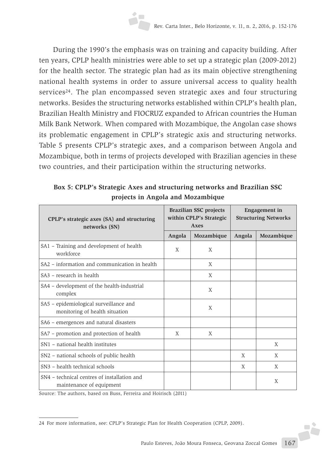During the 1990's the emphasis was on training and capacity building. After ten years, CPLP health ministries were able to set up a strategic plan (2009-2012) for the health sector. The strategic plan had as its main objective strengthening national health systems in order to assure universal access to quality health services<sup>24</sup>. The plan encompassed seven strategic axes and four structuring networks. Besides the structuring networks established within CPLP's health plan, Brazilian Health Ministry and FIOCRUZ expanded to African countries the Human Milk Bank Network. When compared with Mozambique, the Angolan case shows its problematic engagement in CPLP's strategic axis and structuring networks. Table 5 presents CPLP's strategic axes, and a comparison between Angola and Mozambique, both in terms of projects developed with Brazilian agencies in these two countries, and their participation within the structuring networks.

| CPLP's strategic axes (SA) and structuring<br>networks (SN)              | <b>Brazilian SSC projects</b><br>within CPLP's Strategic<br>Axes |            | <b>Engagement</b> in<br><b>Structuring Networks</b> |            |
|--------------------------------------------------------------------------|------------------------------------------------------------------|------------|-----------------------------------------------------|------------|
|                                                                          | Angola                                                           | Mozambique | Angola                                              | Mozambique |
| SA1 - Training and development of health<br>workforce                    | X                                                                | X          |                                                     |            |
| SA2 - information and communication in health                            |                                                                  | X          |                                                     |            |
| SA3 – research in health                                                 |                                                                  | X          |                                                     |            |
| SA4 - development of the health-industrial<br>complex                    |                                                                  | X          |                                                     |            |
| SA5 - epidemiological surveillance and<br>monitoring of health situation |                                                                  | X          |                                                     |            |
| SA6 - emergences and natural disasters                                   |                                                                  |            |                                                     |            |
| SA7 - promotion and protection of health                                 | X                                                                | X          |                                                     |            |
| SN1 - national health institutes                                         |                                                                  |            |                                                     | X          |
| SN2 - national schools of public health                                  |                                                                  |            | X                                                   | X          |
| SN3 - health technical schools                                           |                                                                  |            | X                                                   | X          |
| SN4 – technical centres of installation and<br>maintenance of equipment  |                                                                  |            |                                                     | X          |

**Box 5: CPLP's Strategic Axes and structuring networks and Brazilian SSC projects in Angola and Mozambique**

Source: The authors, based on Buss, Ferreira and Hoirisch (2011)

 $-1$ 

<sup>24</sup> For more information, see: CPLP's Strategic Plan for Health Cooperation (CPLP, 2009).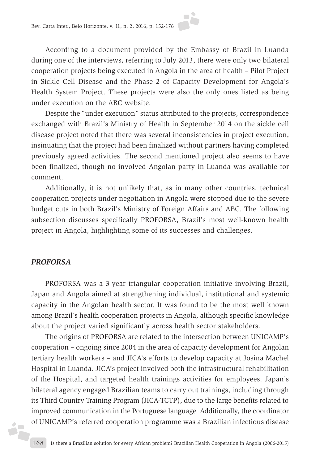

According to a document provided by the Embassy of Brazil in Luanda during one of the interviews, referring to July 2013, there were only two bilateral cooperation projects being executed in Angola in the area of health – Pilot Project in Sickle Cell Disease and the Phase 2 of Capacity Development for Angola's Health System Project. These projects were also the only ones listed as being under execution on the ABC website.

Despite the "under execution" status attributed to the projects, correspondence exchanged with Brazil's Ministry of Health in September 2014 on the sickle cell disease project noted that there was several inconsistencies in project execution, insinuating that the project had been finalized without partners having completed previously agreed activities. The second mentioned project also seems to have been finalized, though no involved Angolan party in Luanda was available for comment.

Additionally, it is not unlikely that, as in many other countries, technical cooperation projects under negotiation in Angola were stopped due to the severe budget cuts in both Brazil's Ministry of Foreign Affairs and ABC. The following subsection discusses specifically PROFORSA, Brazil's most well-known health project in Angola, highlighting some of its successes and challenges.

#### *PROFORSA*

áP

PROFORSA was a 3-year triangular cooperation initiative involving Brazil, Japan and Angola aimed at strengthening individual, institutional and systemic capacity in the Angolan health sector. It was found to be the most well known among Brazil's health cooperation projects in Angola, although specific knowledge about the project varied significantly across health sector stakeholders.

The origins of PROFORSA are related to the intersection between UNICAMP's cooperation – ongoing since 2004 in the area of capacity development for Angolan tertiary health workers – and JICA's efforts to develop capacity at Josina Machel Hospital in Luanda. JICA's project involved both the infrastructural rehabilitation of the Hospital, and targeted health trainings activities for employees. Japan's bilateral agency engaged Brazilian teams to carry out trainings, including through its Third Country Training Program (JICA-TCTP), due to the large benefits related to improved communication in the Portuguese language. Additionally, the coordinator of UNICAMP's referred cooperation programme was a Brazilian infectious disease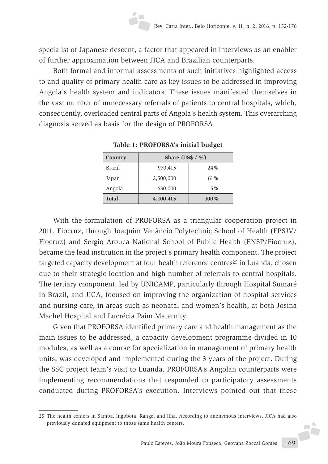specialist of Japanese descent, a factor that appeared in interviews as an enabler of further approximation between JICA and Brazilian counterparts.

Both formal and informal assessments of such initiatives highlighted access to and quality of primary health care as key issues to be addressed in improving Angola's health system and indicators. These issues manifested themselves in the vast number of unnecessary referrals of patients to central hospitals, which, consequently, overloaded central parts of Angola's health system. This overarching diagnosis served as basis for the design of PROFORSA.

| Country      | Share (US\$ $/$ %) |      |  |
|--------------|--------------------|------|--|
| Brazil       | 970,415            | 24%  |  |
| Japan        | 2,500,000          | 61%  |  |
| Angola       | 630,000            | 15%  |  |
| <b>Total</b> | 4,100,415          | 100% |  |

**Table 1: PROFORSA's initial budget**

With the formulation of PROFORSA as a triangular cooperation project in 2011, Fiocruz, through Joaquim Venâncio Polytechnic School of Health (EPSJV/ Fiocruz) and Sergio Arouca National School of Public Health (ENSP/Fiocruz), became the lead institution in the project's primary health component. The project targeted capacity development at four health reference centres<sup>25</sup> in Luanda, chosen due to their strategic location and high number of referrals to central hospitals. The tertiary component, led by UNICAMP, particularly through Hospital Sumaré in Brazil, and JICA, focused on improving the organization of hospital services and nursing care, in areas such as neonatal and women's health, at both Josina Machel Hospital and Lucrécia Paim Maternity.

Given that PROFORSA identified primary care and health management as the main issues to be addressed, a capacity development programme divided in 10 modules, as well as a course for specialization in management of primary health units, was developed and implemented during the 3 years of the project. During the SSC project team's visit to Luanda, PROFORSA's Angolan counterparts were implementing recommendations that responded to participatory assessments conducted during PROFORSA's execution. Interviews pointed out that these

J.

<sup>25</sup> The health centers in Samba, Ingobota, Rangel and Ilha. According to anonymous interviews, JICA had also previously donated equipment to those same health centers.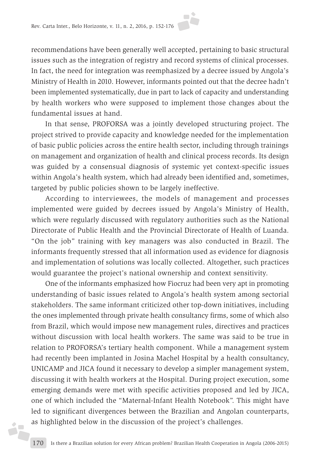recommendations have been generally well accepted, pertaining to basic structural issues such as the integration of registry and record systems of clinical processes. In fact, the need for integration was reemphasized by a decree issued by Angola's Ministry of Health in 2010. However, informants pointed out that the decree hadn't been implemented systematically, due in part to lack of capacity and understanding by health workers who were supposed to implement those changes about the fundamental issues at hand.

In that sense, PROFORSA was a jointly developed structuring project. The project strived to provide capacity and knowledge needed for the implementation of basic public policies across the entire health sector, including through trainings on management and organization of health and clinical process records. Its design was guided by a consensual diagnosis of systemic yet context-specific issues within Angola's health system, which had already been identified and, sometimes, targeted by public policies shown to be largely ineffective.

According to interviewees, the models of management and processes implemented were guided by decrees issued by Angola's Ministry of Health, which were regularly discussed with regulatory authorities such as the National Directorate of Public Health and the Provincial Directorate of Health of Luanda. "On the job" training with key managers was also conducted in Brazil. The informants frequently stressed that all information used as evidence for diagnosis and implementation of solutions was locally collected. Altogether, such practices would guarantee the project's national ownership and context sensitivity.

One of the informants emphasized how Fiocruz had been very apt in promoting understanding of basic issues related to Angola's health system among sectorial stakeholders. The same informant criticized other top-down initiatives, including the ones implemented through private health consultancy firms, some of which also from Brazil, which would impose new management rules, directives and practices without discussion with local health workers. The same was said to be true in relation to PROFORSA's tertiary health component. While a management system had recently been implanted in Josina Machel Hospital by a health consultancy, UNICAMP and JICA found it necessary to develop a simpler management system, discussing it with health workers at the Hospital. During project execution, some emerging demands were met with specific activities proposed and led by JICA, one of which included the "Maternal-Infant Health Notebook". This might have led to significant divergences between the Brazilian and Angolan counterparts, as highlighted below in the discussion of the project's challenges.

áF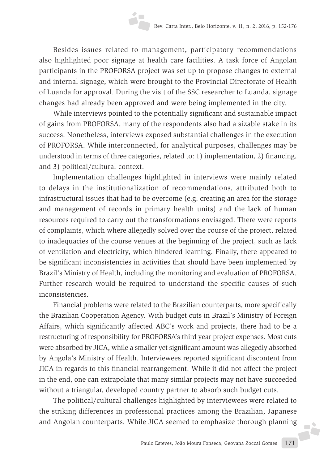Besides issues related to management, participatory recommendations also highlighted poor signage at health care facilities. A task force of Angolan participants in the PROFORSA project was set up to propose changes to external and internal signage, which were brought to the Provincial Directorate of Health of Luanda for approval. During the visit of the SSC researcher to Luanda, signage changes had already been approved and were being implemented in the city.

While interviews pointed to the potentially significant and sustainable impact of gains from PROFORSA, many of the respondents also had a sizable stake in its success. Nonetheless, interviews exposed substantial challenges in the execution of PROFORSA. While interconnected, for analytical purposes, challenges may be understood in terms of three categories, related to: 1) implementation, 2) financing, and 3) political/cultural context.

Implementation challenges highlighted in interviews were mainly related to delays in the institutionalization of recommendations, attributed both to infrastructural issues that had to be overcome (e.g. creating an area for the storage and management of records in primary health units) and the lack of human resources required to carry out the transformations envisaged. There were reports of complaints, which where allegedly solved over the course of the project, related to inadequacies of the course venues at the beginning of the project, such as lack of ventilation and electricity, which hindered learning. Finally, there appeared to be significant inconsistencies in activities that should have been implemented by Brazil's Ministry of Health, including the monitoring and evaluation of PROFORSA. Further research would be required to understand the specific causes of such inconsistencies.

Financial problems were related to the Brazilian counterparts, more specifically the Brazilian Cooperation Agency. With budget cuts in Brazil's Ministry of Foreign Affairs, which significantly affected ABC's work and projects, there had to be a restructuring of responsibility for PROFORSA's third year project expenses. Most cuts were absorbed by JICA, while a smaller yet significant amount was allegedly absorbed by Angola's Ministry of Health. Interviewees reported significant discontent from JICA in regards to this financial rearrangement. While it did not affect the project in the end, one can extrapolate that many similar projects may not have succeeded without a triangular, developed country partner to absorb such budget cuts.

The political/cultural challenges highlighted by interviewees were related to the striking differences in professional practices among the Brazilian, Japanese and Angolan counterparts. While JICA seemed to emphasize thorough planning

**FÈ**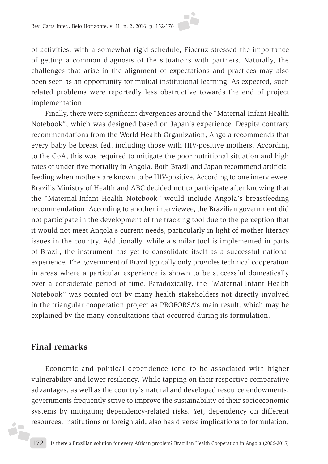of activities, with a somewhat rigid schedule, Fiocruz stressed the importance of getting a common diagnosis of the situations with partners. Naturally, the challenges that arise in the alignment of expectations and practices may also been seen as an opportunity for mutual institutional learning. As expected, such related problems were reportedly less obstructive towards the end of project implementation.

Finally, there were significant divergences around the "Maternal-Infant Health Notebook", which was designed based on Japan's experience. Despite contrary recommendations from the World Health Organization, Angola recommends that every baby be breast fed, including those with HIV-positive mothers. According to the GoA, this was required to mitigate the poor nutritional situation and high rates of under-five mortality in Angola. Both Brazil and Japan recommend artificial feeding when mothers are known to be HIV-positive. According to one interviewee, Brazil's Ministry of Health and ABC decided not to participate after knowing that the "Maternal-Infant Health Notebook" would include Angola's breastfeeding recommendation. According to another interviewee, the Brazilian government did not participate in the development of the tracking tool due to the perception that it would not meet Angola's current needs, particularly in light of mother literacy issues in the country. Additionally, while a similar tool is implemented in parts of Brazil, the instrument has yet to consolidate itself as a successful national experience. The government of Brazil typically only provides technical cooperation in areas where a particular experience is shown to be successful domestically over a considerate period of time. Paradoxically, the "Maternal-Infant Health Notebook" was pointed out by many health stakeholders not directly involved in the triangular cooperation project as PROFORSA's main result, which may be explained by the many consultations that occurred during its formulation.

# **Final remarks**

żF

Economic and political dependence tend to be associated with higher vulnerability and lower resiliency. While tapping on their respective comparative advantages, as well as the country's natural and developed resource endowments, governments frequently strive to improve the sustainability of their socioeconomic systems by mitigating dependency-related risks. Yet, dependency on different resources, institutions or foreign aid, also has diverse implications to formulation,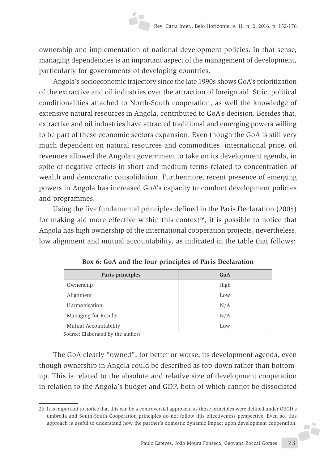ownership and implementation of national development policies. In that sense, managing dependencies is an important aspect of the management of development, particularly for governments of developing countries.

Angola's socioeconomic trajectory since the late 1990s shows GoA's prioritization of the extractive and oil industries over the attraction of foreign aid. Strict political conditionalities attached to North-South cooperation, as well the knowledge of extensive natural resources in Angola, contributed to GoA's decision. Besides that, extractive and oil industries have attracted traditional and emerging powers willing to be part of these economic sectors expansion. Even though the GoA is still very much dependent on natural resources and commodities' international price, oil revenues allowed the Angolan government to take on its development agenda, in spite of negative effects in short and medium terms related to concentration of wealth and democratic consolidation. Furthermore, recent presence of emerging powers in Angola has increased GoA's capacity to conduct development policies and programmes.

Using the five fundamental principles defined in the Paris Declaration (2005) for making aid more effective within this context<sup>26</sup>, it is possible to notice that Angola has high ownership of the international cooperation projects, nevertheless, low alignment and mutual accountability, as indicated in the table that follows:

| Paris principles      | GoA  |
|-----------------------|------|
| Ownership             | High |
| Alignment             | Low  |
| Harmonisation         | N/A  |
| Managing for Results  | N/A  |
| Mutual Accountability | Low  |

**Box 6: GoA and the four principles of Paris Declaration**

Source: Elaborated by the authors

The GoA clearly "owned", for better or worse, its development agenda, even though ownership in Angola could be described as top-down rather than bottomup. This is related to the absolute and relative size of development cooperation in relation to the Angola's budget and GDP, both of which cannot be dissociated

**F** 

<sup>26</sup> It is important to notice that this can be a controversial approach, as those principles were defined under OECD's umbrella and South-South Cooperation principles do not follow this effectiveness perspective. Even so, this approach is useful to understand how the partner's domestic dynamic impact upon development cooperation.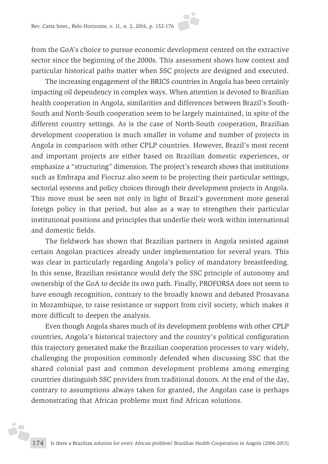from the GoA's choice to pursue economic development centred on the extractive sector since the beginning of the 2000s. This assessment shows how context and particular historical paths matter when SSC projects are designed and executed.

The increasing engagement of the BRICS countries in Angola has been certainly impacting oil dependency in complex ways. When attention is devoted to Brazilian health cooperation in Angola, similarities and differences between Brazil's South-South and North-South cooperation seem to be largely maintained, in spite of the different country settings. As is the case of North-South cooperation, Brazilian development cooperation is much smaller in volume and number of projects in Angola in comparison with other CPLP countries. However, Brazil's most recent and important projects are either based on Brazilian domestic experiences, or emphasize a "structuring" dimension. The project's research shows that institutions such as Embrapa and Fiocruz also seem to be projecting their particular settings, sectorial systems and policy choices through their development projects in Angola. This move must be seen not only in light of Brazil's government more general foreign policy in that period, but also as a way to strengthen their particular institutional positions and principles that underlie their work within international and domestic fields.

The fieldwork has shown that Brazilian partners in Angola resisted against certain Angolan practices already under implementation for several years. This was clear in particularly regarding Angola's policy of mandatory breastfeeding. In this sense, Brazilian resistance would defy the SSC principle of autonomy and ownership of the GoA to decide its own path. Finally, PROFORSA does not seem to have enough recognition, contrary to the broadly known and debated Prosavana in Mozambique, to raise resistance or support from civil society, which makes it more difficult to deepen the analysis.

Even though Angola shares much of its development problems with other CPLP countries, Angola's historical trajectory and the country's political configuration this trajectory generated make the Brazilian cooperation processes to vary widely, challenging the proposition commonly defended when discussing SSC that the shared colonial past and common development problems among emerging countries distinguish SSC providers from traditional donors. At the end of the day, contrary to assumptions always taken for granted, the Angolan case is perhaps demonstrating that African problems must find African solutions.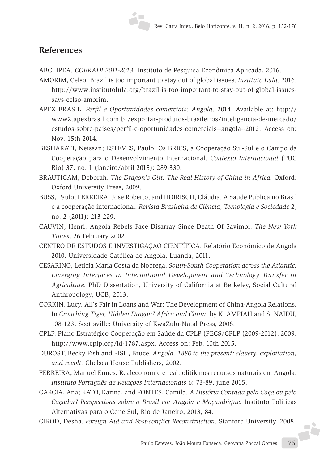#### **References**

ABC; IPEA. *COBRADI 2011-2013.* Instituto de Pesquisa Econômica Aplicada, 2016.

- AMORIM, Celso. Brazil is too important to stay out of global issues. *Instituto Lula.* 2016. http://www.institutolula.org/brazil-is-too-important-to-stay-out-of-global-issuessays-celso-amorim.
- APEX BRASIL. *Perfil e Oportunidades comerciais: Angola*. 2014. Available at: http:// www2.apexbrasil.com.br/exportar-produtos-brasileiros/inteligencia-de-mercado/ estudos-sobre-paises/perfil-e-oportunidades-comerciais--angola--2012. Access on: Nov. 15th 2014.
- BESHARATI, Neissan; ESTEVES, Paulo. Os BRICS, a Cooperação Sul-Sul e o Campo da Cooperação para o Desenvolvimento Internacional. *Contexto Internacional* (PUC Rio) 37, no. 1 (janeiro/abril 2015): 289-330.
- BRAUTIGAM, Deborah. *The Dragon's Gift: The Real History of China in Africa.* Oxford: Oxford University Press, 2009.
- BUSS, Paulo; FERREIRA, José Roberto, and HOIRISCH, Cláudia. A Saúde Pública no Brasil e a cooperação internacional. *Revista Brasileira de Ciência, Tecnologia e Sociedade* 2, no. 2 (2011): 213-229.
- CAUVIN, Henri. Angola Rebels Face Disarray Since Death Of Savimbi. *The New York Times*, 26 February 2002.
- CENTRO DE ESTUDOS E INVESTIGAÇÃO CIENTÍFICA. Relatório Económico de Angola 2010. Universidade Católica de Angola, Luanda, 2011.
- CESARINO, Leticia Maria Costa da Nobrega. *South-South Cooperation across the Atlantic: Emerging Interfaces in International Development and Technology Transfer in Agriculture.* PhD Dissertation, University of California at Berkeley, Social Cultural Anthropology, UCB, 2013.
- CORKIN, Lucy. All's Fair in Loans and War: The Development of China-Angola Relations. In *Crouching Tiger, Hidden Dragon? Africa and China*, by K. AMPIAH and S. NAIDU, 108-123. Scottsville: University of KwaZulu-Natal Press, 2008.
- CPLP. Plano Estratégico Cooperação em Saúde da CPLP (PECS/CPLP (2009-2012). 2009. http://www.cplp.org/id-1787.aspx. Access on: Feb. 10th 2015.
- DUROST, Becky Fish and FISH, Bruce. *Angola. 1880 to the present: slavery, exploitation, and revolt.* Chelsea House Publishers, 2002.
- FERREIRA, Manuel Ennes. Realeconomie e realpolitik nos recursos naturais em Angola. *Instituto Português de Relações Internacionais* 6: 73-89, june 2005.
- GARCIA, Ana; KATO, Karina, and FONTES, Camila. *A História Contada pela Caça ou pelo Caçador? Perspectivas sobre o Brasil em Angola e Moçambique.* Instituto Políticas Alternativas para o Cone Sul, Rio de Janeiro, 2013, 84.
- GIROD, Desha. *Foreign Aid and Post-conflict Reconstruction.* Stanford University, 2008.

**A**